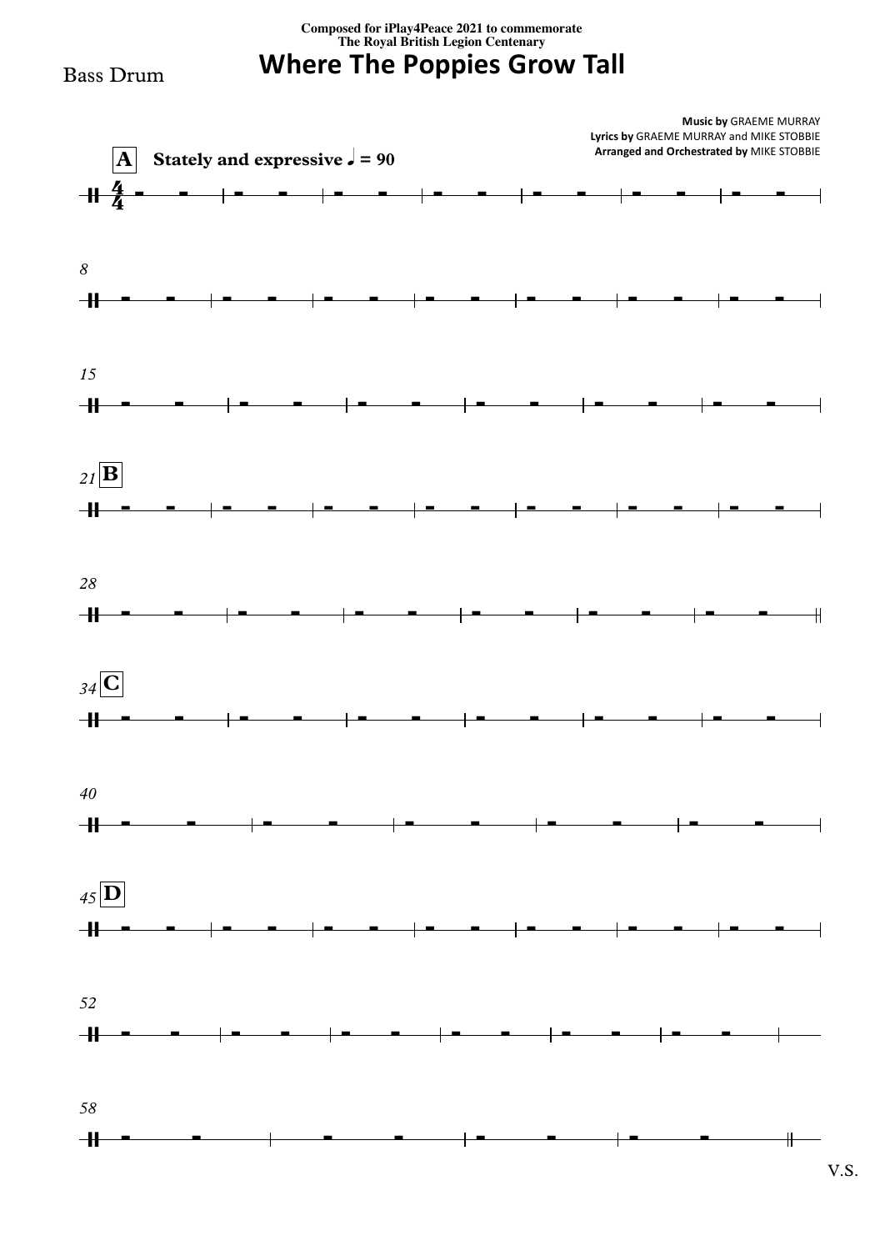**Composed for iPlay4Peace <sup>2021</sup> to commemorate The Royal British Legion Centenary**

## **Where The Poppies Grow Tall**

Bass Drum